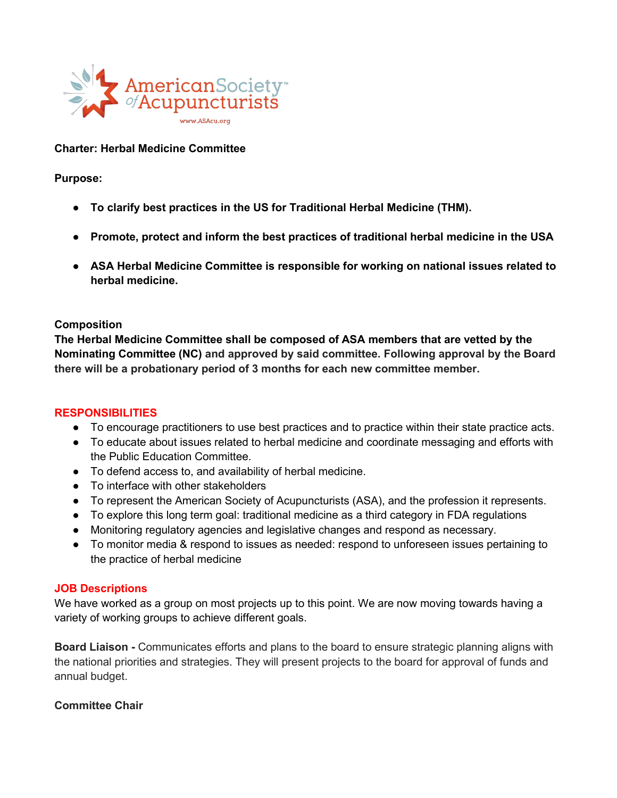

# **Charter: Herbal Medicine Committee**

**Purpose:**

- **To clarify best practices in the US for Traditional Herbal Medicine (THM).**
- **Promote, protect and inform the best practices of traditional herbal medicine in the USA**
- **ASA Herbal Medicine Committee is responsible for working on national issues related to herbal medicine.**

### **Composition**

**The Herbal Medicine Committee shall be composed of ASA members that are vetted by the Nominating Committee (NC) and approved by said committee. Following approval by the Board there will be a probationary period of 3 months for each new committee member.**

### **RESPONSIBILITIES**

- To encourage practitioners to use best practices and to practice within their state practice acts.
- To educate about issues related to herbal medicine and coordinate messaging and efforts with the Public Education Committee.
- To defend access to, and availability of herbal medicine.
- To interface with other stakeholders
- To represent the American Society of Acupuncturists (ASA), and the profession it represents.
- To explore this long term goal: traditional medicine as a third category in FDA regulations
- Monitoring regulatory agencies and legislative changes and respond as necessary.
- To monitor media & respond to issues as needed: respond to unforeseen issues pertaining to the practice of herbal medicine

#### **JOB Descriptions**

We have worked as a group on most projects up to this point. We are now moving towards having a variety of working groups to achieve different goals.

**Board Liaison -** Communicates efforts and plans to the board to ensure strategic planning aligns with the national priorities and strategies. They will present projects to the board forapproval of funds and annual budget.

### **Committee Chair**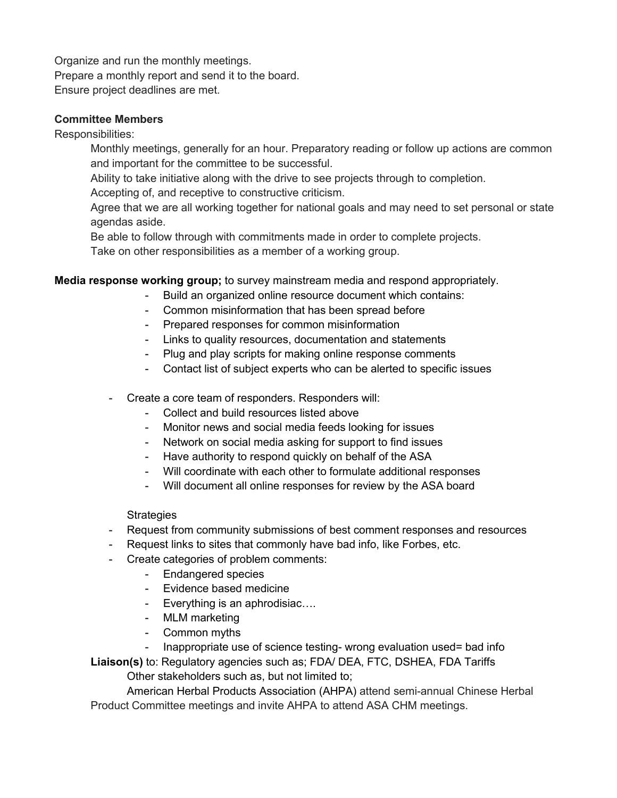Organize and run the monthly meetings. Prepare a monthly report and send it to the board. Ensure project deadlines are met.

## **Committee Members**

Responsibilities:

Monthly meetings, generally for an hour. Preparatory reading or follow up actions are common and important for the committee to be successful.

Ability to take initiative along with the drive to see projects through to completion.

Accepting of, and receptive to constructive criticism.

Agree that we are all working together for national goals and may need to set personal or state agendas aside.

Be able to follow through with commitments made in order to complete projects.

Take on other responsibilities as a member of a working group.

**Media response working group;** to survey mainstream media and respond appropriately.

- Build an organized online resource document which contains:
- Common misinformation that has been spread before
- Prepared responses for common misinformation
- Links to quality resources, documentation and statements
- Plug and play scripts for making online response comments
- Contact list of subject experts who can be alerted to specific issues
- Create a core team of responders. Responders will:
	- Collect and build resources listed above
	- Monitor news and social media feeds looking for issues
	- Network on social media asking for support to find issues
	- Have authority to respond quickly on behalf of the ASA
	- Will coordinate with each other to formulate additional responses
	- Will document all online responses for review by the ASA board

**Strategies** 

- Request from community submissions of best comment responses and resources
- Request links to sites that commonly have bad info, like Forbes, etc.
- Create categories of problem comments:
	- Endangered species
	- Evidence based medicine
	- Everything is an aphrodisiac….
	- MLM marketing
	- Common myths
		- Inappropriate use of science testing- wrong evaluation used= bad info

**Liaison(s)** to: Regulatory agencies such as; FDA/ DEA, FTC, DSHEA, FDA Tariffs Other stakeholders such as, but not limited to;

American Herbal Products Association (AHPA) attend semi-annual Chinese Herbal Product Committee meetings and invite AHPA to attend ASA CHM meetings.